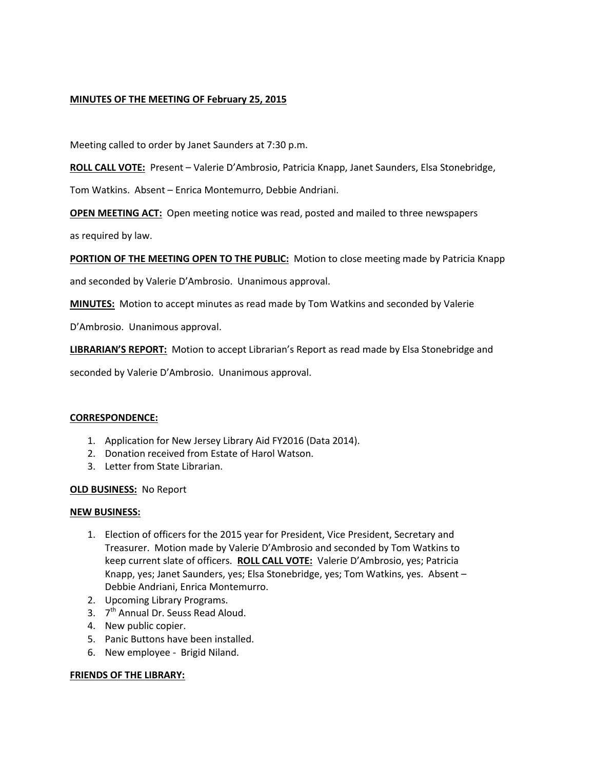# **MINUTES OF THE MEETING OF February 25, 2015**

Meeting called to order by Janet Saunders at 7:30 p.m.

**ROLL CALL VOTE:** Present – Valerie D'Ambrosio, Patricia Knapp, Janet Saunders, Elsa Stonebridge,

Tom Watkins. Absent – Enrica Montemurro, Debbie Andriani.

**OPEN MEETING ACT:** Open meeting notice was read, posted and mailed to three newspapers

as required by law.

**PORTION OF THE MEETING OPEN TO THE PUBLIC:** Motion to close meeting made by Patricia Knapp

and seconded by Valerie D'Ambrosio. Unanimous approval.

**MINUTES:** Motion to accept minutes as read made by Tom Watkins and seconded by Valerie

D'Ambrosio. Unanimous approval.

**LIBRARIAN'S REPORT:** Motion to accept Librarian's Report as read made by Elsa Stonebridge and

seconded by Valerie D'Ambrosio. Unanimous approval.

#### **CORRESPONDENCE:**

- 1. Application for New Jersey Library Aid FY2016 (Data 2014).
- 2. Donation received from Estate of Harol Watson.
- 3. Letter from State Librarian.

#### **OLD BUSINESS:** No Report

#### **NEW BUSINESS:**

- 1. Election of officers for the 2015 year for President, Vice President, Secretary and Treasurer. Motion made by Valerie D'Ambrosio and seconded by Tom Watkins to keep current slate of officers. **ROLL CALL VOTE:** Valerie D'Ambrosio, yes; Patricia Knapp, yes; Janet Saunders, yes; Elsa Stonebridge, yes; Tom Watkins, yes. Absent – Debbie Andriani, Enrica Montemurro.
- 2. Upcoming Library Programs.
- 3. 7<sup>th</sup> Annual Dr. Seuss Read Aloud.
- 4. New public copier.
- 5. Panic Buttons have been installed.
- 6. New employee Brigid Niland.

#### **FRIENDS OF THE LIBRARY:**